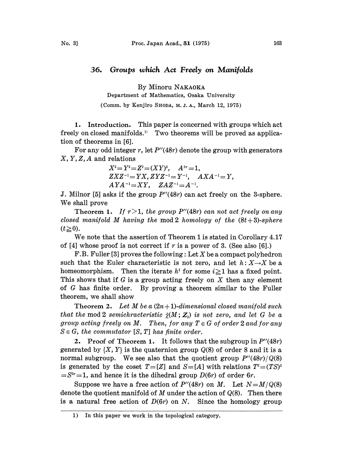## 36. Groups which Act Freely on Manifolds

By Minoru NAKAOKA

Department of Mathematics, Osaka University

(Comm. by Kenjiro SHODA, M. J. A., March 12, 1975)

1. Introduction. This paper is concerned with groups which act freely on closed manifolds." Two theorems will be proved as application of theorems in [6].

For any odd integer r, let  $P''(48r)$  denote the group with generators  $X, Y, Z, A$  and relations

$$
\begin{array}{ll} X^2\!=\!Y^2\!=\!Z^2\!=\!(XY)^2,\quad A^{3r}\!=\!1,\\ ZXZ^{-1}\!=\!YX, ZYZ^{-1}\!=\!Y^{-1},\quad AXA^{-1}\!=\!Y,\\ AYA^{-1}\!=\!XY,\quad ZAZ^{-1}\!=\!A^{-1}.\end{array}
$$

J. Milnor [5] asks if the group  $P''(48r)$  can act freely on the 3-sphere. We shall prove

Theorem 1. If  $r>1$ , the group P''(48r) can not act freely on any closed manifold M having the mod 2 homology of the  $(8t+3)$ -sphere  $(t\geq 0)$ .

We note that the assertion of Theorem <sup>1</sup> is stated in Corollary 4.17 of [4] whose proof is not correct if  $r$  is a power of 3. (See also [6].)

F.B. Fuller [3] proves the following : Let X be a compact polyhedron such that the Euler characteristic is not zero, and let  $h: X \rightarrow X$  be a homeomorphism. Then the iterate  $h^i$  for some  $i \ge 1$  has a fixed point. This shows that if G is a group acting freely on X then any element of G has finite order. By proving a theorem similar to the Fuller theorem, we shall show

Theorem 2. Let M be a  $(2n+1)$ -dimensional closed manifold such that the mod 2 semichracteristic  $\hat{\chi}(M; Z_2)$  is not zero, and let G be a group acting freely on M. Then, for any  $T \in G$  of order 2 and for any  $S \in G$ , the commutator  $[S, T]$  has finite order.

2. Proof of Theorem 1. It follows that the subgroup in  $P''(48r)$ generated by  $\{X, Y\}$  is the quaternion group  $Q(8)$  of order 8 and it is a normal subgroup. We see also that the quotient group  $P''(48r)/Q(8)$ is generated by the coset  $T=[Z]$  and  $S=[A]$  with relations  $T^2=(TS)^2$  $S^{3r}=1$ , and hence it is the dihedral group  $D(6r)$  of order 6r.

<sup>3r</sup>=1, and hence it is the dihedral group  $D(6r)$  of order 6r.<br>Suppose we have a free action of  $P''(48r)$  on M. Let  $N=M/Q(8)$ denote the quotient manifold of M under the action of  $Q(8)$ . Then there is a natural free action of  $D(6r)$  on N. Since the homology group

<sup>1)</sup> In this paper we work in the topological category.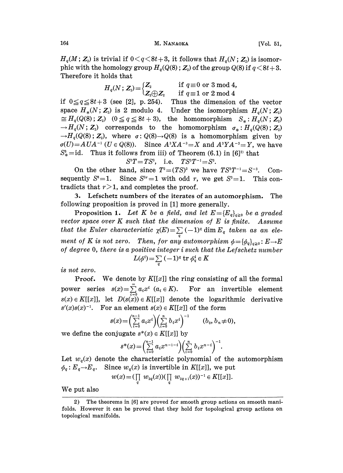## 164 M. NANAOKA [Vol. 51,

 $H_q(M; Z_2)$  is trivial if  $0 < q < 8t+3$ , it follows that  $H_q(N; Z_2)$  is isomorphic with the homology group  $H_q(Q(8); Z_2)$  of the group  $Q(8)$  if  $q < 8t + 3$ . Therefore it holds that

$$
H_q(N; \mathbf{Z}_2) \!=\! \begin{cases}\n\mathbf{Z}_2 & \text{if } q \equiv 0 \text{ or } 3 \bmod 4, \\
\mathbf{Z}_2 \oplus \mathbf{Z}_2 & \text{if } q \equiv 1 \text{ or } 2 \bmod 4\n\end{cases}
$$

if  $0 \leq q \leq 8t + 3$  (see [2], p. 254). Thus the dimension of the vector space  $H_*(N; \mathbb{Z}_2)$  is 2 modulo 4. Under the isomorphism  $H_q(N; \mathbb{Z}_2)$  $\cong H_q(Q(8)\,;\, {\bf Z}_2) \ \ \ (0\leqq q \leqq 8t+3), \ \ \ \text{the\ \ \ homomorphism \ \ } S_*: H_q(N\,;\, {\bf Z}_2) \ \rightarrow H_q(N\,;\, {\bf Z}_2) \ \ \ \text{corresponds \ \ \ to\ \ \ the\ \ \ homomorphism \ \ } \ \sigma_*: H_q(Q(8)\,;\, {\bf Z}_2)$  $\cong H_q(Q(8); \mathbb{Z}_2)$   $(0 \leq q \leq 8t+3)$ , the homomorphism  $S_* : H_q(N; \mathbb{Z}_2)$  $\rightarrow H_q(Q(8); Z_2)$ , where  $\sigma: Q(8) \rightarrow Q(8)$  is a homomorphism given by  $\sigma(U) = AUA^{-1}$  (U  $\in Q(8)$ ). Since  $A^3XA^{-3} = X$  and  $A^3YA^{-3} = Y$ , we have  $S^3_{\ast}$  = id. Thus it follows from iii) of Theorem (6.1) in [6]<sup>23</sup> that

$$
S^3T = TS^3, \quad \text{i.e.} \quad TS^3T^{-1} = S^3.
$$

On the other hand, since  $T^2 = (TS)^2$  we have  $TS^3T^{-1} = S^{-3}$ . Consequently  $S^* = 1$ . Since  $S^{3r} = 1$  with odd r, we get  $S^3 = 1$ . This contradicts that  $r>1$ , and completes the proof.

3. Lefschetz numbers of the iterates of an automorphism. The following proposition is proved in [1] more generally.

**Proposition 1.** Let K be a field, and let  $E = \{E_q\}_{q \ge 0}$  be a graded vector space over  $K$  such that the dimension of  $E$  is finite. Assume that the Euler characteristic  $\chi(E) = \sum_{\alpha} (-1)^{\alpha} \dim E_{q}$  taken as an element of K is not zero. Then, for any automorphism  $\phi = {\phi_q}_{q\geq 0} : E \to E$ of degree O, there is a positive integer <sup>i</sup> such that the Lefschetz number  $L(\phi^i) \!=\! \sum\limits_q\,(-1)^q\,\mathrm{tr}\,\phi^i_q \!\in K$ 

is not zero.

**Proof.** We denote by  $K[[x]]$  the ring consisting of all the formal power series  $s(x) = \sum_{i=0} a_i x^i$   $(a_i \in K)$ . For an invertible element  $s(x) \in K[[x]]$ , let  $D(s(x)) \in K[[x]]$  denote the logarithmic derivative  $s'(x)s(x)^{-1}$ . For an element  $s(x) \in K[[x]]$  of the form

$$
s(x) = \left(\sum_{i=0}^{n-1} a_i x^i\right) \left(\sum_{i=0}^{n} b_i x^i\right)^{-1} \qquad (b_0, b_n \neq 0),
$$

we define the conjugate  $s^*(x) \in K[[x]]$  by

$$
s^{*}(x) = \left(\sum_{i=0}^{n-1} a_{i} x^{n-i-1}\right) \left(\sum_{i=0}^{n} b_{i} x^{n-i}\right)^{-1}.
$$

Let  $w_q(x)$  denote the characteristic polynomial of the automorphism  $\phi_q: E_q \to E_q$ . Since  $w_q(x)$  is invertible in K[[x]], we put

$$
w(x) = (\prod_{q} w_{2q}(x)) (\prod_{q} w_{2q+1}(x))^{-1} \in K[[x]].
$$

We put also

<sup>2)</sup> The theorems in [6] are proved for smooth group actions on smooth manifolds. However it can be proved that they hold for topological group actions on topological manifolds.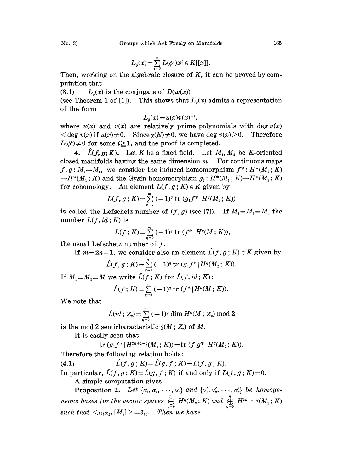$$
L_{\phi}(x) = \sum_{i=0}^{\infty} L(\phi^i) x^i \in K[[x]].
$$

Then, working on the algebraic closure of  $K$ , it can be proved by computation that

(3.1)  $L_a(x)$  is the conjugate of  $D(w(x))$ 

(see Theorem 1 of [1]). This shows that  $L_{\phi}(x)$  admits a representation of the form

$$
L_{\phi}(x) = u(x)v(x)^{-1},
$$

where  $u(x)$  and  $v(x)$  are relatively prime polynomials with deg  $u(x)$  $\langle \deg v(x) \text{ if } u(x) \neq 0. \text{ Since } \chi(E) \neq 0, \text{ we have } \deg v(x) > 0. \text{ Therefore}$  $L(\phi^i) \neq 0$  for some  $i \geq 1$ , and the proof is completed.

4.  $\hat{L}(f, g; K)$ . Let K be a fixed field. Let  $M_1, M_2$  be K-oriented closed manifolds having the same dimension  $m$ . For continuous maps  $f, g: M \rightarrow M<sub>2</sub>$ , we consider the induced homomorphism  $f^*: H^*(M_2; K)$  $\rightarrow$  H<sup>\*</sup>(M<sub>1</sub>; K) and the Gysin homomorphism  $g_1: H^*(M_1; K) \rightarrow H^*(M_2; K)$ for cohomology. An element  $L(f, g; K) \in K$  given by

$$
L(f,g\,;\,K)\!=\!\textstyle\sum\limits_{q=0}^{m}\,(-1)^q\,\mathrm{tr}\,(g_!f^*|H^q(M_{_2};\,K))
$$

is called the Lefschetz number of  $(f, g)$  (see [7]). If  $M_1=M_2=M$ , the number  $L(f, id; K)$  is

$$
L(f; K) = \sum_{q=0}^{m} (-1)^q \operatorname{tr} (f^* | H^q(M; K)),
$$

the usual Lefschetz number of f.

If  $m=2n+1$ , we consider also an element  $\hat{L}(f, g; K) \in K$  given by

$$
\hat{L}(f,g; K) = \sum_{q=0}^{n} (-1)^q \operatorname{tr} (g_1 f^* | H^q(M_2; K)).
$$

If  $M_1=M_2=M$  we write  $\hat{L}(f;K)$  for  $\hat{L}(f, id;K)$ :

$$
\hat{L}(f; K) = \sum_{q=0}^{n} (-1)^q \operatorname{tr} (f^* | H^q(M; K)).
$$

We note that

$$
\hat{L}(id; \mathbf{Z}_{2})\!=\!\textstyle\sum\limits_{q=0}^{n}\left(-1\right)^{q}\dim H^{q}(M; \mathbf{Z}_{2})\ \mathrm{mod}\ 2
$$

is the mod 2 semicharacteristic  $\hat{\chi}(M; Z_2)$  of M.

It is easily seen that

$$
{\rm tr}\; (g_!f^* \,|\, H^{2n+1-q}(M_{_2}\,;\,K))\!=\!{\rm tr}\;(f_!g^*\,|\, H^q(M_{_2}\,;\,K)).
$$

Therefore the following relation holds:

(4.1)  $\hat{L}(f, g; K) - \hat{L}(g, f; K) = L(f, g; K).$ 

In particular,  $\hat{L}(f, g; K) = \hat{L}(g, f; K)$  if and only if  $L(f, g; K) = 0$ . A simple computation gives

Proposition 2. Let  $\{\alpha_1, \alpha_2, \cdots, \alpha_s\}$  and  $\{\alpha'_1, \alpha'_2, \cdots, \alpha'_s\}$  be homogeneous bases for the vector spaces  $\overset{n}{\underset{q=0}{\oplus}}\;H^q(M_z\,;K)$  and  $\overset{n}{\underset{q=0}{\oplus}}\;H^{2n+1-q}(M_z\,;K)$ **Proposition 2.** Let  $\{\alpha_1, \alpha_2, \cdots, \alpha_s\}$  and<br>neous bases for the vector spaces  $\bigoplus_{q=0}^n H^q(M_2)$ ;<br>such that  $\langle \alpha_i \alpha_j, [M_2] \rangle = \delta_{ij}$ . Then we have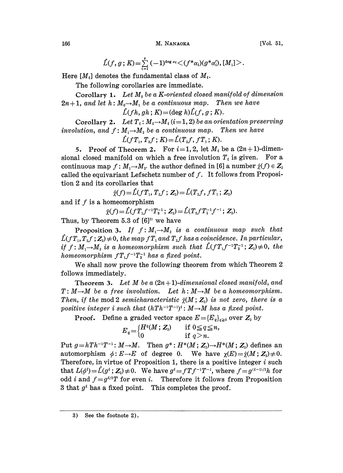166 M. NANAOKA [Vo]. 51,

$$
\hat{L}(f,g\,;K)\!=\!\sum_{i=1}^s\,(-1)^{\deg\alpha_i}\!\!<\!(f^*\alpha_i)(g^*\alpha_i'),[M_1]\!>.
$$

Here  $[M_i]$  denotes the fundamental class of  $M_i$ .

The following corollaries are immediate.

Corollary 1. Let  $M_0$  be a K-oriented closed manifold of dimension  $2n+1$ , and let  $h: M_0 \rightarrow M_1$  be a continuous map. Then we have

 $\hat{L}(fh, gh; K) = (\text{deg } h)\hat{L}(f, g; K).$ 

Corollary 2. Let  $T_i$ :  $M_i \rightarrow M_i$  (i=1, 2) be an orientation preserving involution, and  $f : M_1 \rightarrow M_2$  be a continuous map. Then we have  $\hat{L}(fT_1, T_2f; K)= \hat{L}(T_2f, fT_1; K).$ 

5. Proof of Theorem 2. For  $i=1, 2$ , let  $M_i$  be a  $(2n+1)$ -dimensional closed manifold on which a free involution  $T_i$  is given. For a continuous map  $f: M_1 \rightarrow M_2$ , the author defined in [6] a number  $\hat{\chi}(f) \in Z_2$ called the equivariant Lefschetz number of  $f$ . It follows from Proposition 2 and its corollaries that

$$
\hat{\chi}(f) = \hat{L}(fT_1, T_2f ; Z_2) = \hat{L}(T_2f, fT_1; Z_2)
$$

and if  $f$  is a homeomorphism

$$
\hat{\chi}(f) = \hat{L}(f T_1 f^{-1} T_2^{-1}; Z_2) = \hat{L}(T_2 f T_1^{-1} f^{-1}; Z_2).
$$
  
rem 5.3 of [6]<sup>3</sup> we have

Thus, by Theorem  $5.3$  of  $[6]$ <sup>3)</sup> we have

Proposition 3. If  $f: M_1 \rightarrow M_2$  is a continuous map such that  $\hat{L}(fT_1, T_2f; Z_2) \neq 0$ , the map  $fT_1$  and  $T_2f$  has a coincidence. In particular, if  $f: M_1 \rightarrow M_2$  is a homeomorphism such that  $\hat{L}(fT_1f^{-1}T_2^{-1}; Z_2) \neq 0$ , the homeomorphism  $fT_1f^{-1}T_2^{-1}$  has a fixed point.

We shall now prove the following theorem from which Theorem <sup>2</sup> follows immediately.

**Theorem 3.** Let M be a  $(2n+1)$ -dimensional closed manifold, and  $T: M \rightarrow M$  be a free involution. Let  $h: M \rightarrow M$  be a homeomorphism. Then, if the mod 2 semicharacteristic  $\hat{\chi}(M; Z_2)$  is not zero, there is a positive integer i such that  $(hTh^{-1}T^{-1})^i$ :  $M \rightarrow M$  has a fixed point.

Proof. Define a graded vector space  $E = {E_q}_{q \ge 0}$  over  $Z_2$  by<br>  $F = {H^q(M; Z_2) \text{ if } 0 \le q \le n,}$ 

$$
E_q = \begin{cases} H^q(M; Z_2) & \text{if } 0 \leq q \leq n, \\ 0 & \text{if } q > n. \end{cases}
$$

Put  $g=hTh^{-1}T^{-1}: M \rightarrow M$ . Then  $g^*: H^*(M; Z_2) \rightarrow H^*(M; Z_2)$  defines an automorphism  $\phi: E \to E$  of degree 0. We have  $\chi(E) = \hat{\chi}(M; Z_2) \neq 0$ . Therefore, in virtue of Proposition 1, there is a positive integer  $i$  such that  $L(\phi^i) = \hat{L}(g^i; Z_i) \neq 0$ . We have  $g^i = fTf^{-1}T^{-1}$ , where  $f = g^{(i-1)/2}h$  for odd *i* and  $f=g^{t/2}T$  for even *i*. Therefore it follows from Proposition 3 that  $g^i$  has a fixed point. This completes the proof.

3) See the footnote 2).